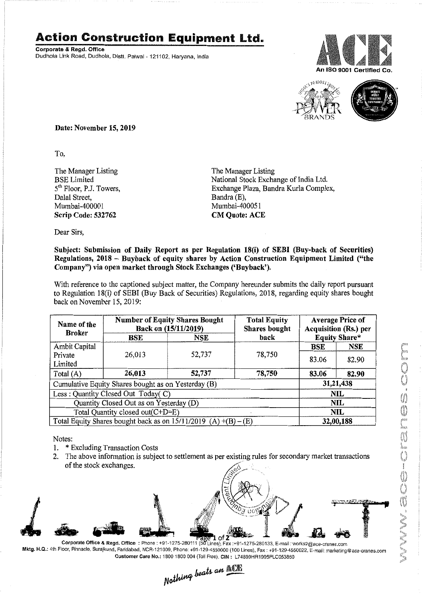## **Action Construction Equipment Ltd.**

Corporate & Regd. Office Dudhola Link Road, Dudhola, Distt. Palwal - 121102, Haryana, India





Date: November 15,2019

To,

The Manager Listing BSE Limited 5<sup>th</sup> Floor, P.J. Towers. Dalal Street, Mumbai-400001 Scrip Code: 532762

The Manager Listing National Stock Exchange of India Ltd. Exchange Plaza, Bandra Kurla Complex, Bandra (E), Mumbai-400051 **CM Quote: ACE** 

Dear Sirs,

## Subject: Submission of Daily Report as per Regulation 18(i) of SEBI (Buy-back of Securities) Regulations, 2018 - Buyback of equity shares by Action Construction Equipment Limited ("the Company") via open market through Stock Exchanges ('Buyback').

With reference to the captioned subject matter, the Company hereunder submits the daily report pursuant to Regulation 18(i) of SEBI (Buy Back of Securities) Regulations, 2018, regarding equity shares bought back on November 15, 2019:

| Name of the<br><b>Broker</b>                                        | <b>Number of Equity Shares Bought</b><br>Back on (15/11/2019) |        | <b>Total Equity</b><br>Shares bought | <b>Average Price of</b><br>Acquisition (Rs.) per |       |
|---------------------------------------------------------------------|---------------------------------------------------------------|--------|--------------------------------------|--------------------------------------------------|-------|
|                                                                     | $_{\rm BSE}$                                                  | NSE    | back                                 | Equity Share*                                    |       |
| Ambit Capital                                                       |                                                               |        |                                      | <b>BSE</b>                                       | NSE   |
| Private<br>Limited                                                  | 26,013                                                        | 52,737 | 78,750                               | 83.06                                            | 82.90 |
| Total $(A)$                                                         | 26,013                                                        | 52,737 | 78,750                               | 83.06                                            | 82.90 |
| Cumulative Equity Shares bought as on Yesterday (B)                 |                                                               |        |                                      | 31,21,438                                        |       |
| Less: Quantity Closed Out Today(C)                                  |                                                               |        |                                      | <b>NIL</b>                                       |       |
| Quantity Closed Out as on Yesterday (D)                             |                                                               |        |                                      | NIL                                              |       |
| Total Quantity closed out(C+D=E)                                    |                                                               |        |                                      | NIL                                              |       |
| Total Equity Shares bought back as on $15/11/2019$ (A) $+(B) - (E)$ |                                                               |        |                                      | 32,00,188                                        |       |

Notes:

- 1. \* Excluding Transaction Costs
- 2. The above information is subject to settlement as per existing rules for secondary market transactions of the stock exchanges. .



Corporate Office & Regd. Office : Phone : +91-1275-280111 (50 Lines), Fax : +91-1275-280133, E-mail : works2@ace-cranes.com Mktg. H.Q.: 4th Floor, Pinnacle, Surajkund, Faridabad, NCR-121009, Phone: +91-129-4550000 (100 Lines), Fax : +91-129-4550022, E-mail: marketing@ace-cranes.com Customer Care No.: 1800 1800 004 (Toll Free), CIN: L74899HR1995PLC053860

Nothing beats an **ACK**